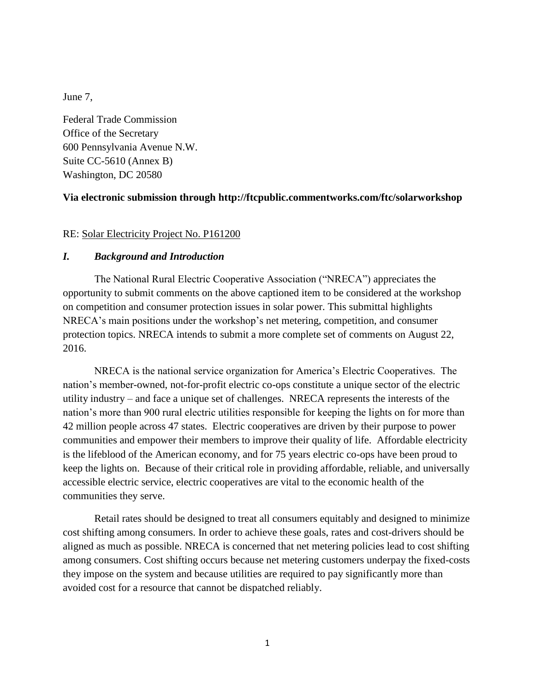June 7,

Federal Trade Commission Office of the Secretary 600 Pennsylvania Avenue N.W. Suite CC-5610 (Annex B) Washington, DC 20580

### **Via electronic submission through<http://ftcpublic.commentworks.com/ftc/solarworkshop>**

RE: Solar Electricity Project No. P161200

### *I. Background and Introduction*

The National Rural Electric Cooperative Association ("NRECA") appreciates the opportunity to submit comments on the above captioned item to be considered at the workshop on competition and consumer protection issues in solar power. This submittal highlights NRECA's main positions under the workshop's net metering, competition, and consumer protection topics. NRECA intends to submit a more complete set of comments on August 22, 2016.

NRECA is the national service organization for America's Electric Cooperatives. The nation's member-owned, not-for-profit electric co-ops constitute a unique sector of the electric utility industry – and face a unique set of challenges. NRECA represents the interests of the nation's more than 900 rural electric utilities responsible for keeping the lights on for more than 42 million people across 47 states. Electric cooperatives are driven by their purpose to power communities and empower their members to improve their quality of life. Affordable electricity is the lifeblood of the American economy, and for 75 years electric co-ops have been proud to keep the lights on. Because of their critical role in providing affordable, reliable, and universally accessible electric service, electric cooperatives are vital to the economic health of the communities they serve.

Retail rates should be designed to treat all consumers equitably and designed to minimize cost shifting among consumers. In order to achieve these goals, rates and cost-drivers should be aligned as much as possible. NRECA is concerned that net metering policies lead to cost shifting among consumers. Cost shifting occurs because net metering customers underpay the fixed-costs they impose on the system and because utilities are required to pay significantly more than avoided cost for a resource that cannot be dispatched reliably.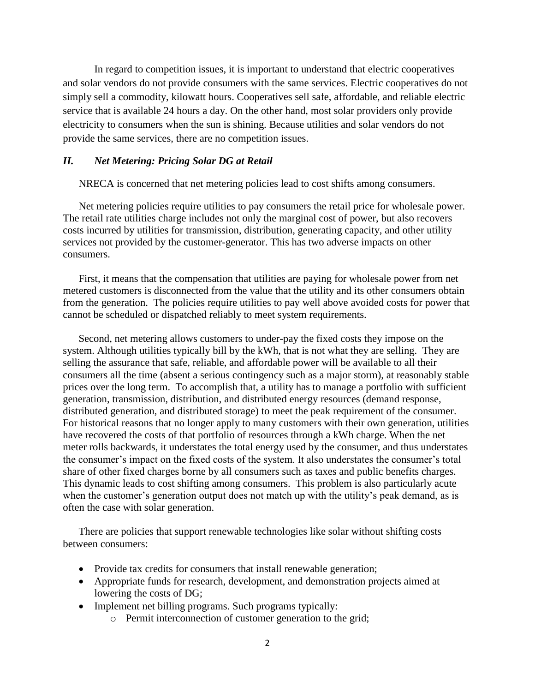In regard to competition issues, it is important to understand that electric cooperatives and solar vendors do not provide consumers with the same services. Electric cooperatives do not simply sell a commodity, kilowatt hours. Cooperatives sell safe, affordable, and reliable electric service that is available 24 hours a day. On the other hand, most solar providers only provide electricity to consumers when the sun is shining. Because utilities and solar vendors do not provide the same services, there are no competition issues.

#### *II. Net Metering: Pricing Solar DG at Retail*

NRECA is concerned that net metering policies lead to cost shifts among consumers.

Net metering policies require utilities to pay consumers the retail price for wholesale power. The retail rate utilities charge includes not only the marginal cost of power, but also recovers costs incurred by utilities for transmission, distribution, generating capacity, and other utility services not provided by the customer-generator. This has two adverse impacts on other consumers.

First, it means that the compensation that utilities are paying for wholesale power from net metered customers is disconnected from the value that the utility and its other consumers obtain from the generation. The policies require utilities to pay well above avoided costs for power that cannot be scheduled or dispatched reliably to meet system requirements.

Second, net metering allows customers to under-pay the fixed costs they impose on the system. Although utilities typically bill by the kWh, that is not what they are selling. They are selling the assurance that safe, reliable, and affordable power will be available to all their consumers all the time (absent a serious contingency such as a major storm), at reasonably stable prices over the long term. To accomplish that, a utility has to manage a portfolio with sufficient generation, transmission, distribution, and distributed energy resources (demand response, distributed generation, and distributed storage) to meet the peak requirement of the consumer. For historical reasons that no longer apply to many customers with their own generation, utilities have recovered the costs of that portfolio of resources through a kWh charge. When the net meter rolls backwards, it understates the total energy used by the consumer, and thus understates the consumer's impact on the fixed costs of the system. It also understates the consumer's total share of other fixed charges borne by all consumers such as taxes and public benefits charges. This dynamic leads to cost shifting among consumers. This problem is also particularly acute when the customer's generation output does not match up with the utility's peak demand, as is often the case with solar generation.

There are policies that support renewable technologies like solar without shifting costs between consumers:

- Provide tax credits for consumers that install renewable generation;
- Appropriate funds for research, development, and demonstration projects aimed at lowering the costs of DG;
- Implement net billing programs. Such programs typically:
	- o Permit interconnection of customer generation to the grid;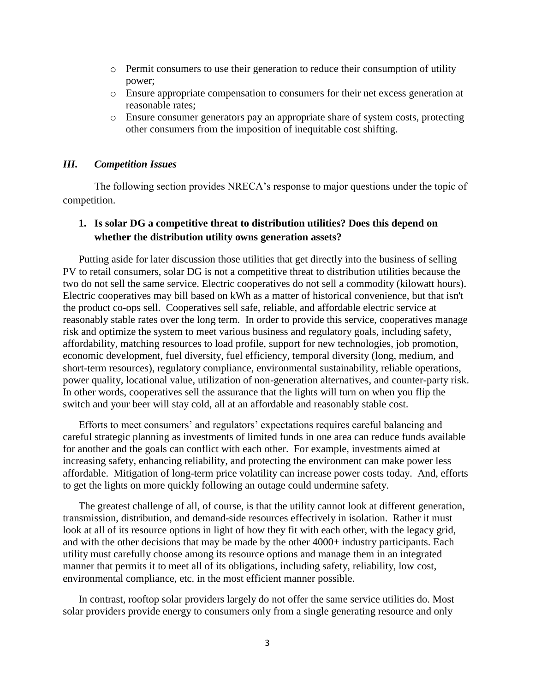- $\circ$  Permit consumers to use their generation to reduce their consumption of utility power;
- o Ensure appropriate compensation to consumers for their net excess generation at reasonable rates;
- o Ensure consumer generators pay an appropriate share of system costs, protecting other consumers from the imposition of inequitable cost shifting.

#### *III. Competition Issues*

The following section provides NRECA's response to major questions under the topic of competition.

### **1. Is solar DG a competitive threat to distribution utilities? Does this depend on whether the distribution utility owns generation assets?**

Putting aside for later discussion those utilities that get directly into the business of selling PV to retail consumers, solar DG is not a competitive threat to distribution utilities because the two do not sell the same service. Electric cooperatives do not sell a commodity (kilowatt hours). Electric cooperatives may bill based on kWh as a matter of historical convenience, but that isn't the product co-ops sell. Cooperatives sell safe, reliable, and affordable electric service at reasonably stable rates over the long term. In order to provide this service, cooperatives manage risk and optimize the system to meet various business and regulatory goals, including safety, affordability, matching resources to load profile, support for new technologies, job promotion, economic development, fuel diversity, fuel efficiency, temporal diversity (long, medium, and short-term resources), regulatory compliance, environmental sustainability, reliable operations, power quality, locational value, utilization of non-generation alternatives, and counter-party risk. In other words, cooperatives sell the assurance that the lights will turn on when you flip the switch and your beer will stay cold, all at an affordable and reasonably stable cost.

Efforts to meet consumers' and regulators' expectations requires careful balancing and careful strategic planning as investments of limited funds in one area can reduce funds available for another and the goals can conflict with each other. For example, investments aimed at increasing safety, enhancing reliability, and protecting the environment can make power less affordable. Mitigation of long-term price volatility can increase power costs today. And, efforts to get the lights on more quickly following an outage could undermine safety.

The greatest challenge of all, of course, is that the utility cannot look at different generation, transmission, distribution, and demand-side resources effectively in isolation. Rather it must look at all of its resource options in light of how they fit with each other, with the legacy grid, and with the other decisions that may be made by the other 4000+ industry participants. Each utility must carefully choose among its resource options and manage them in an integrated manner that permits it to meet all of its obligations, including safety, reliability, low cost, environmental compliance, etc. in the most efficient manner possible.

In contrast, rooftop solar providers largely do not offer the same service utilities do. Most solar providers provide energy to consumers only from a single generating resource and only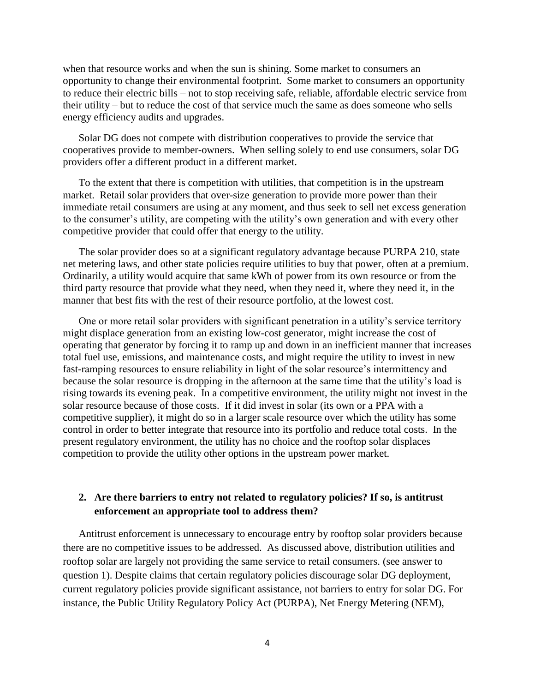when that resource works and when the sun is shining. Some market to consumers an opportunity to change their environmental footprint. Some market to consumers an opportunity to reduce their electric bills – not to stop receiving safe, reliable, affordable electric service from their utility – but to reduce the cost of that service much the same as does someone who sells energy efficiency audits and upgrades.

Solar DG does not compete with distribution cooperatives to provide the service that cooperatives provide to member-owners. When selling solely to end use consumers, solar DG providers offer a different product in a different market.

To the extent that there is competition with utilities, that competition is in the upstream market. Retail solar providers that over-size generation to provide more power than their immediate retail consumers are using at any moment, and thus seek to sell net excess generation to the consumer's utility, are competing with the utility's own generation and with every other competitive provider that could offer that energy to the utility.

The solar provider does so at a significant regulatory advantage because PURPA 210, state net metering laws, and other state policies require utilities to buy that power, often at a premium. Ordinarily, a utility would acquire that same kWh of power from its own resource or from the third party resource that provide what they need, when they need it, where they need it, in the manner that best fits with the rest of their resource portfolio, at the lowest cost.

One or more retail solar providers with significant penetration in a utility's service territory might displace generation from an existing low-cost generator, might increase the cost of operating that generator by forcing it to ramp up and down in an inefficient manner that increases total fuel use, emissions, and maintenance costs, and might require the utility to invest in new fast-ramping resources to ensure reliability in light of the solar resource's intermittency and because the solar resource is dropping in the afternoon at the same time that the utility's load is rising towards its evening peak. In a competitive environment, the utility might not invest in the solar resource because of those costs. If it did invest in solar (its own or a PPA with a competitive supplier), it might do so in a larger scale resource over which the utility has some control in order to better integrate that resource into its portfolio and reduce total costs. In the present regulatory environment, the utility has no choice and the rooftop solar displaces competition to provide the utility other options in the upstream power market.

## **2. Are there barriers to entry not related to regulatory policies? If so, is antitrust enforcement an appropriate tool to address them?**

Antitrust enforcement is unnecessary to encourage entry by rooftop solar providers because there are no competitive issues to be addressed. As discussed above, distribution utilities and rooftop solar are largely not providing the same service to retail consumers. (see answer to question 1). Despite claims that certain regulatory policies discourage solar DG deployment, current regulatory policies provide significant assistance, not barriers to entry for solar DG. For instance, the Public Utility Regulatory Policy Act (PURPA), Net Energy Metering (NEM),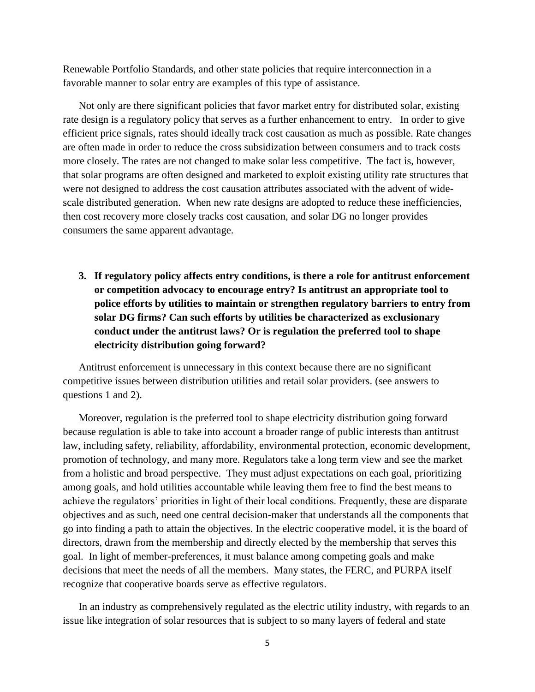Renewable Portfolio Standards, and other state policies that require interconnection in a favorable manner to solar entry are examples of this type of assistance.

Not only are there significant policies that favor market entry for distributed solar, existing rate design is a regulatory policy that serves as a further enhancement to entry. In order to give efficient price signals, rates should ideally track cost causation as much as possible. Rate changes are often made in order to reduce the cross subsidization between consumers and to track costs more closely. The rates are not changed to make solar less competitive. The fact is, however, that solar programs are often designed and marketed to exploit existing utility rate structures that were not designed to address the cost causation attributes associated with the advent of widescale distributed generation. When new rate designs are adopted to reduce these inefficiencies, then cost recovery more closely tracks cost causation, and solar DG no longer provides consumers the same apparent advantage.

**3. If regulatory policy affects entry conditions, is there a role for antitrust enforcement or competition advocacy to encourage entry? Is antitrust an appropriate tool to police efforts by utilities to maintain or strengthen regulatory barriers to entry from solar DG firms? Can such efforts by utilities be characterized as exclusionary conduct under the antitrust laws? Or is regulation the preferred tool to shape electricity distribution going forward?** 

Antitrust enforcement is unnecessary in this context because there are no significant competitive issues between distribution utilities and retail solar providers. (see answers to questions 1 and 2).

Moreover, regulation is the preferred tool to shape electricity distribution going forward because regulation is able to take into account a broader range of public interests than antitrust law, including safety, reliability, affordability, environmental protection, economic development, promotion of technology, and many more. Regulators take a long term view and see the market from a holistic and broad perspective. They must adjust expectations on each goal, prioritizing among goals, and hold utilities accountable while leaving them free to find the best means to achieve the regulators' priorities in light of their local conditions. Frequently, these are disparate objectives and as such, need one central decision-maker that understands all the components that go into finding a path to attain the objectives. In the electric cooperative model, it is the board of directors, drawn from the membership and directly elected by the membership that serves this goal. In light of member-preferences, it must balance among competing goals and make decisions that meet the needs of all the members. Many states, the FERC, and PURPA itself recognize that cooperative boards serve as effective regulators.

In an industry as comprehensively regulated as the electric utility industry, with regards to an issue like integration of solar resources that is subject to so many layers of federal and state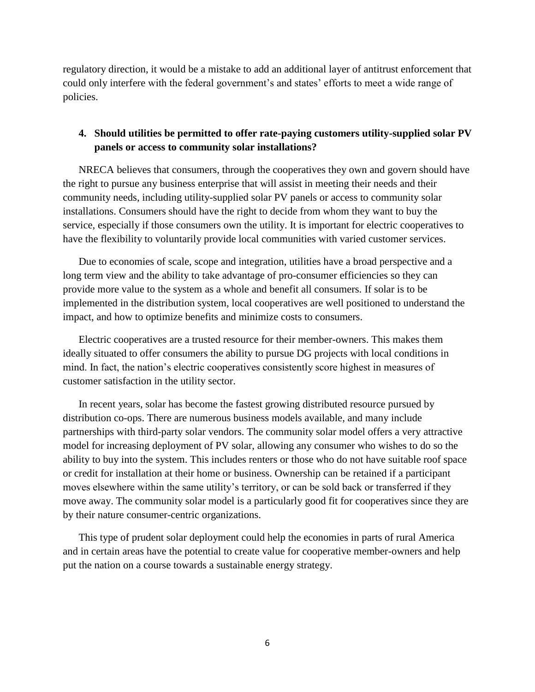regulatory direction, it would be a mistake to add an additional layer of antitrust enforcement that could only interfere with the federal government's and states' efforts to meet a wide range of policies.

## **4. Should utilities be permitted to offer rate-paying customers utility-supplied solar PV panels or access to community solar installations?**

NRECA believes that consumers, through the cooperatives they own and govern should have the right to pursue any business enterprise that will assist in meeting their needs and their community needs, including utility-supplied solar PV panels or access to community solar installations. Consumers should have the right to decide from whom they want to buy the service, especially if those consumers own the utility. It is important for electric cooperatives to have the flexibility to voluntarily provide local communities with varied customer services.

Due to economies of scale, scope and integration, utilities have a broad perspective and a long term view and the ability to take advantage of pro-consumer efficiencies so they can provide more value to the system as a whole and benefit all consumers. If solar is to be implemented in the distribution system, local cooperatives are well positioned to understand the impact, and how to optimize benefits and minimize costs to consumers.

Electric cooperatives are a trusted resource for their member-owners. This makes them ideally situated to offer consumers the ability to pursue DG projects with local conditions in mind. In fact, the nation's electric cooperatives consistently score highest in measures of customer satisfaction in the utility sector.

In recent years, solar has become the fastest growing distributed resource pursued by distribution co-ops. There are numerous business models available, and many include partnerships with third-party solar vendors. The community solar model offers a very attractive model for increasing deployment of PV solar, allowing any consumer who wishes to do so the ability to buy into the system. This includes renters or those who do not have suitable roof space or credit for installation at their home or business. Ownership can be retained if a participant moves elsewhere within the same utility's territory, or can be sold back or transferred if they move away. The community solar model is a particularly good fit for cooperatives since they are by their nature consumer-centric organizations.

This type of prudent solar deployment could help the economies in parts of rural America and in certain areas have the potential to create value for cooperative member-owners and help put the nation on a course towards a sustainable energy strategy.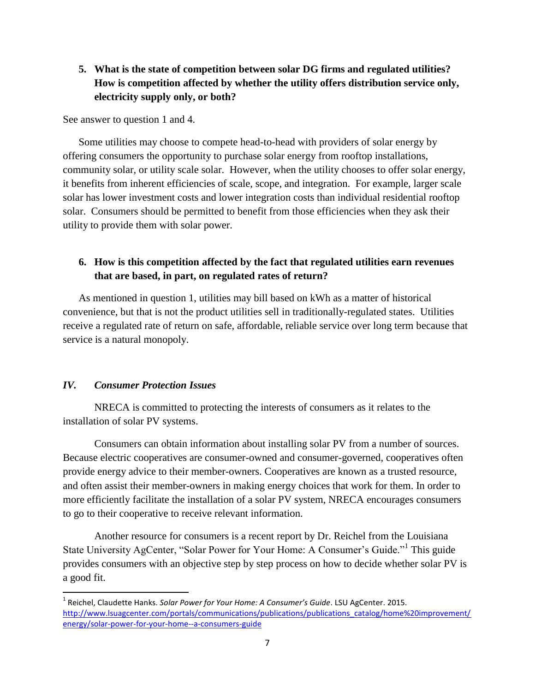# **5. What is the state of competition between solar DG firms and regulated utilities? How is competition affected by whether the utility offers distribution service only, electricity supply only, or both?**

See answer to question 1 and 4.

Some utilities may choose to compete head-to-head with providers of solar energy by offering consumers the opportunity to purchase solar energy from rooftop installations, community solar, or utility scale solar. However, when the utility chooses to offer solar energy, it benefits from inherent efficiencies of scale, scope, and integration. For example, larger scale solar has lower investment costs and lower integration costs than individual residential rooftop solar. Consumers should be permitted to benefit from those efficiencies when they ask their utility to provide them with solar power.

# **6. How is this competition affected by the fact that regulated utilities earn revenues that are based, in part, on regulated rates of return?**

As mentioned in question 1, utilities may bill based on kWh as a matter of historical convenience, but that is not the product utilities sell in traditionally-regulated states. Utilities receive a regulated rate of return on safe, affordable, reliable service over long term because that service is a natural monopoly.

#### *IV. Consumer Protection Issues*

 $\overline{\phantom{a}}$ 

NRECA is committed to protecting the interests of consumers as it relates to the installation of solar PV systems.

Consumers can obtain information about installing solar PV from a number of sources. Because electric cooperatives are consumer-owned and consumer-governed, cooperatives often provide energy advice to their member-owners. Cooperatives are known as a trusted resource, and often assist their member-owners in making energy choices that work for them. In order to more efficiently facilitate the installation of a solar PV system, NRECA encourages consumers to go to their cooperative to receive relevant information.

Another resource for consumers is a recent report by Dr. Reichel from the Louisiana State University AgCenter, "Solar Power for Your Home: A Consumer's Guide."<sup>1</sup> This guide provides consumers with an objective step by step process on how to decide whether solar PV is a good fit.

<sup>1</sup> Reichel, Claudette Hanks. *Solar Power for Your Home: A Consumer's Guide*. LSU AgCenter. 2015. [http://www.lsuagcenter.com/portals/communications/publications/publications\\_catalog/home%20improvement/](http://www.lsuagcenter.com/portals/communications/publications/publications_catalog/home%20improvement/energy/solar-power-for-your-home--a-consumers-guide) [energy/solar-power-for-your-home--a-consumers-guide](http://www.lsuagcenter.com/portals/communications/publications/publications_catalog/home%20improvement/energy/solar-power-for-your-home--a-consumers-guide)